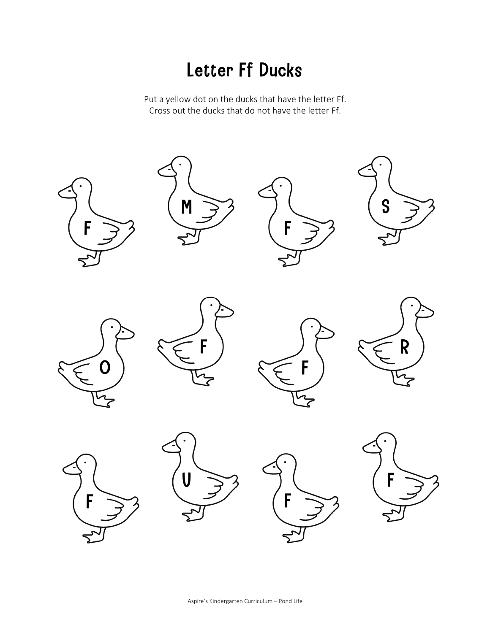#### Letter Ff Ducks

Put a yellow dot on the ducks that have the letter Ff. Cross out the ducks that do not have the letter Ff.

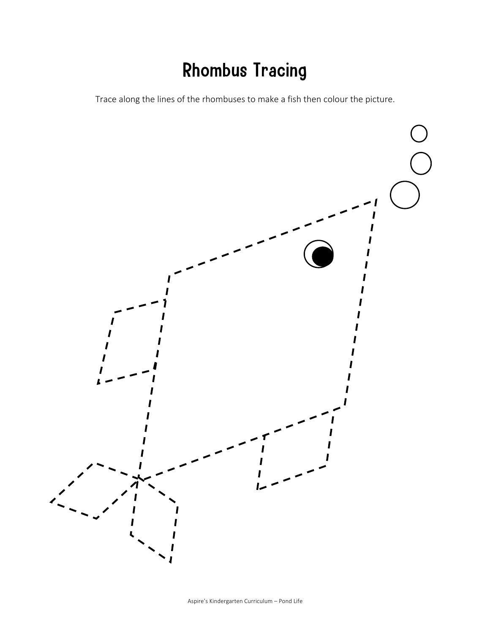# Rhombus Tracing

Trace along the lines of the rhombuses to make a fish then colour the picture.

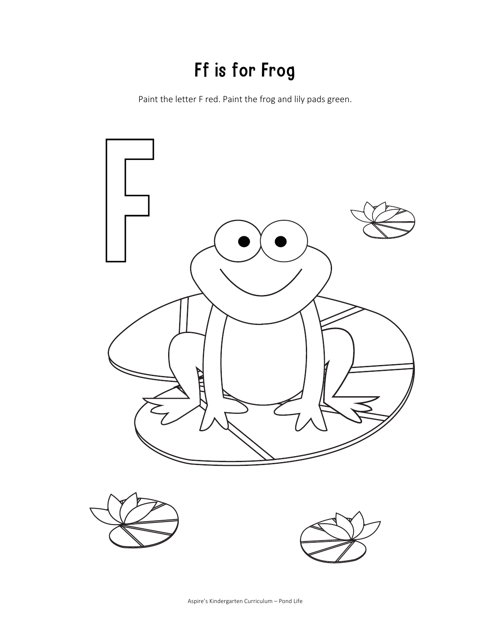# Ff is for Frog

Paint the letter F red. Paint the frog and lily pads green.

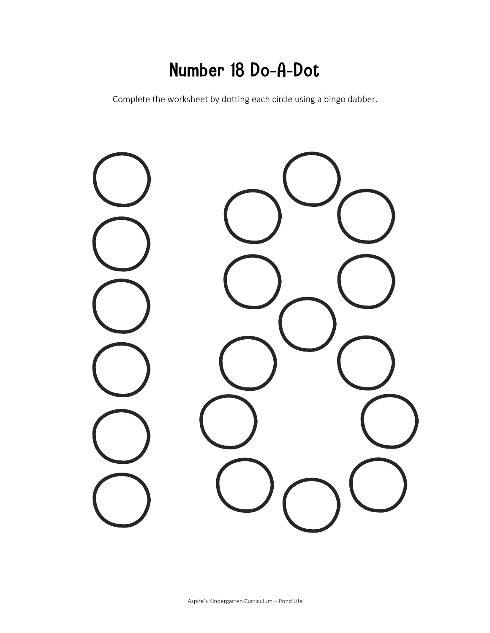#### Number 18 Do-A-Dot

Complete the worksheet by dotting each circle using a bingo dabber.

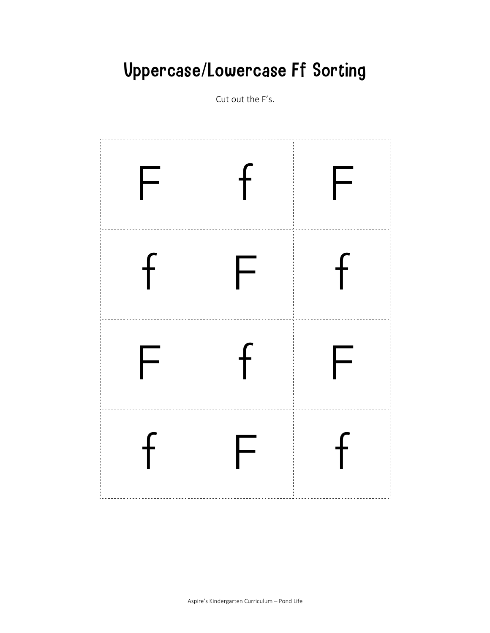# **Uppercase/Lowercase Ff Sorting**

Cut out the F's.

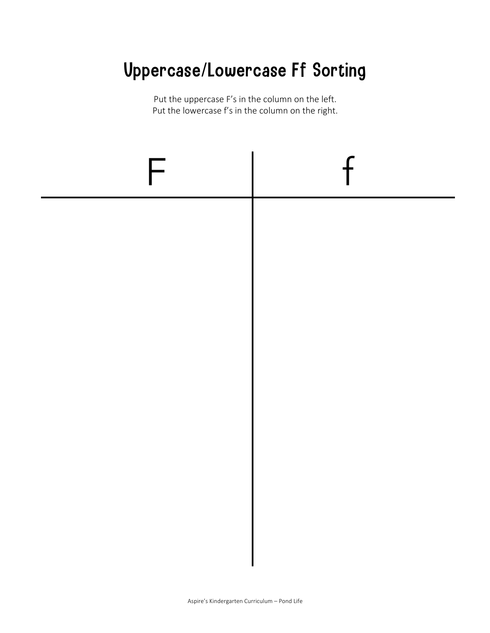# Uppercase/Lowercase Ff Sorting

Put the uppercase F's in the column on the left. Put the lowercase f's in the column on the right.

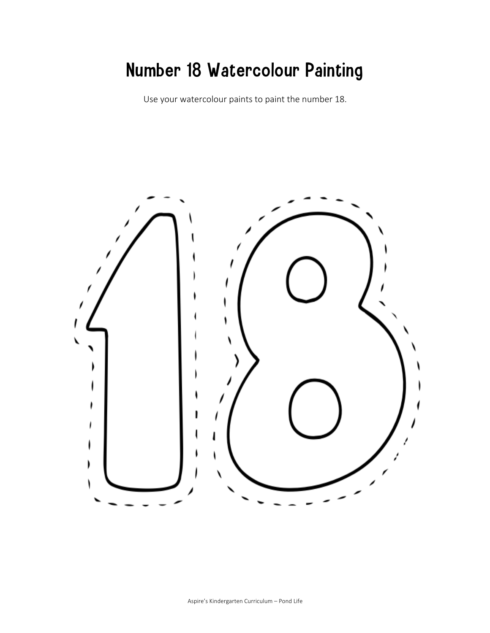### Number 18 Watercolour Painting

Use your watercolour paints to paint the number 18.

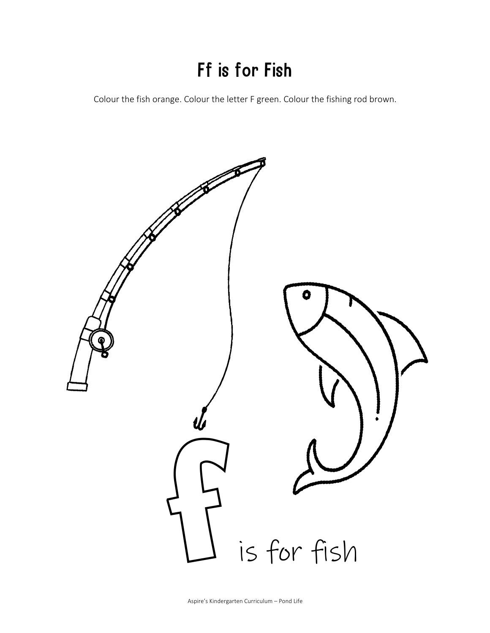# Ff is for Fish

Colour the fish orange. Colour the letter F green. Colour the fishing rod brown.